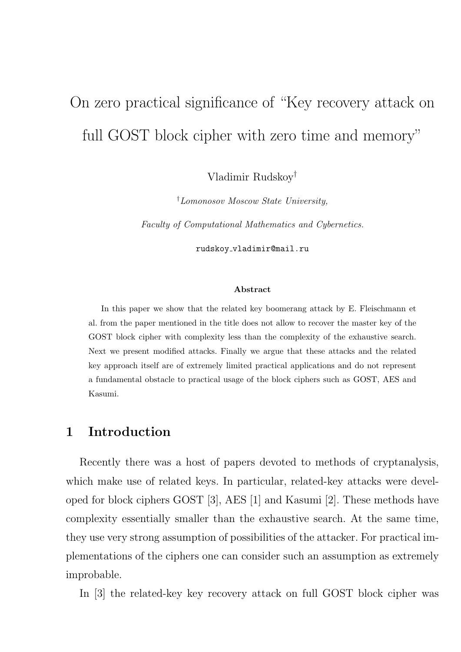# On zero practical significance of "Key recovery attack on full GOST block cipher with zero time and memory"

Vladimir Rudskoy†

†Lomonosov Moscow State University,

Faculty of Computational Mathematics and Cybernetics.

rudskoy vladimir@mail.ru

#### Abstract

In this paper we show that the related key boomerang attack by E. Fleischmann et al. from the paper mentioned in the title does not allow to recover the master key of the GOST block cipher with complexity less than the complexity of the exhaustive search. Next we present modified attacks. Finally we argue that these attacks and the related key approach itself are of extremely limited practical applications and do not represent a fundamental obstacle to practical usage of the block ciphers such as GOST, AES and Kasumi.

# 1 Introduction

Recently there was a host of papers devoted to methods of cryptanalysis, which make use of related keys. In particular, related-key attacks were developed for block ciphers GOST [3], AES [1] and Kasumi [2]. These methods have complexity essentially smaller than the exhaustive search. At the same time, they use very strong assumption of possibilities of the attacker. For practical implementations of the ciphers one can consider such an assumption as extremely improbable.

In [3] the related-key key recovery attack on full GOST block cipher was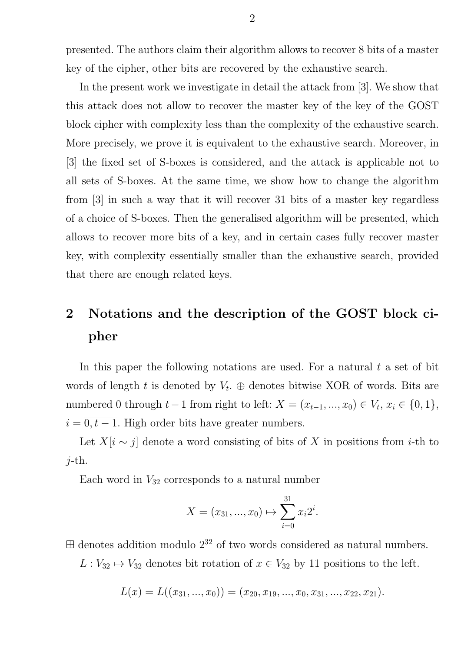presented. The authors claim their algorithm allows to recover 8 bits of a master key of the cipher, other bits are recovered by the exhaustive search.

In the present work we investigate in detail the attack from [3]. We show that this attack does not allow to recover the master key of the key of the GOST block cipher with complexity less than the complexity of the exhaustive search. More precisely, we prove it is equivalent to the exhaustive search. Moreover, in [3] the fixed set of S-boxes is considered, and the attack is applicable not to all sets of S-boxes. At the same time, we show how to change the algorithm from [3] in such a way that it will recover 31 bits of a master key regardless of a choice of S-boxes. Then the generalised algorithm will be presented, which allows to recover more bits of a key, and in certain cases fully recover master key, with complexity essentially smaller than the exhaustive search, provided that there are enough related keys.

# 2 Notations and the description of the GOST block cipher

In this paper the following notations are used. For a natural  $t$  a set of bit words of length t is denoted by  $V_t$ .  $\oplus$  denotes bitwise XOR of words. Bits are numbered 0 through  $t-1$  from right to left:  $X = (x_{t-1}, ..., x_0) \in V_t, x_i \in \{0, 1\},\$  $i = \overline{0, t - 1}$ . High order bits have greater numbers.

Let  $X[i \sim j]$  denote a word consisting of bits of X in positions from *i*-th to  $j$ -th.

Each word in  $V_{32}$  corresponds to a natural number

$$
X = (x_{31}, ..., x_0) \mapsto \sum_{i=0}^{31} x_i 2^i.
$$

 $\boxplus$  denotes addition modulo  $2^{32}$  of two words considered as natural numbers.

 $L: V_{32} \mapsto V_{32}$  denotes bit rotation of  $x \in V_{32}$  by 11 positions to the left.

$$
L(x) = L((x_{31},...,x_0)) = (x_{20}, x_{19},...,x_0, x_{31},...,x_{22}, x_{21}).
$$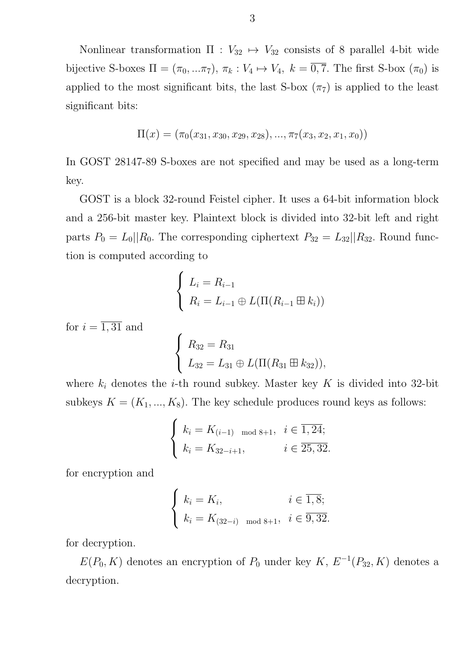Nonlinear transformation  $\Pi : V_{32} \mapsto V_{32}$  consists of 8 parallel 4-bit wide bijective S-boxes  $\Pi = (\pi_0, ..., \pi_7), \pi_k : V_4 \mapsto V_4, k = \overline{0, 7}.$  The first S-box  $(\pi_0)$  is applied to the most significant bits, the last S-box  $(\pi_7)$  is applied to the least significant bits:

$$
\Pi(x) = (\pi_0(x_{31}, x_{30}, x_{29}, x_{28}), ..., \pi_7(x_3, x_2, x_1, x_0))
$$

In GOST 28147-89 S-boxes are not specified and may be used as a long-term key.

GOST is a block 32-round Feistel cipher. It uses a 64-bit information block and a 256-bit master key. Plaintext block is divided into 32-bit left and right parts  $P_0 = L_0||R_0$ . The corresponding ciphertext  $P_{32} = L_{32}||R_{32}$ . Round function is computed according to

$$
\begin{cases}\nL_i = R_{i-1} \\
R_i = L_{i-1} \oplus L(\Pi(R_{i-1} \boxplus k_i))\n\end{cases}
$$

for  $i = \overline{1,31}$  and

$$
\begin{cases}\nR_{32} = R_{31} \\
L_{32} = L_{31} \oplus L(\Pi(R_{31} \boxplus k_{32})),\n\end{cases}
$$

where  $k_i$  denotes the *i*-th round subkey. Master key K is divided into 32-bit subkeys  $K = (K_1, ..., K_8)$ . The key schedule produces round keys as follows:

$$
\begin{cases} k_i = K_{(i-1) \mod 8+1}, & i \in \overline{1,24}; \\ k_i = K_{32-i+1}, & i \in \overline{25,32}. \end{cases}
$$

for encryption and

$$
\begin{cases} k_i = K_i, & i \in \overline{1,8}; \\ k_i = K_{(32-i) \mod 8+1}, & i \in \overline{9,32}. \end{cases}
$$

for decryption.

 $E(P_0, K)$  denotes an encryption of  $P_0$  under key  $K, E^{-1}(P_{32}, K)$  denotes a decryption.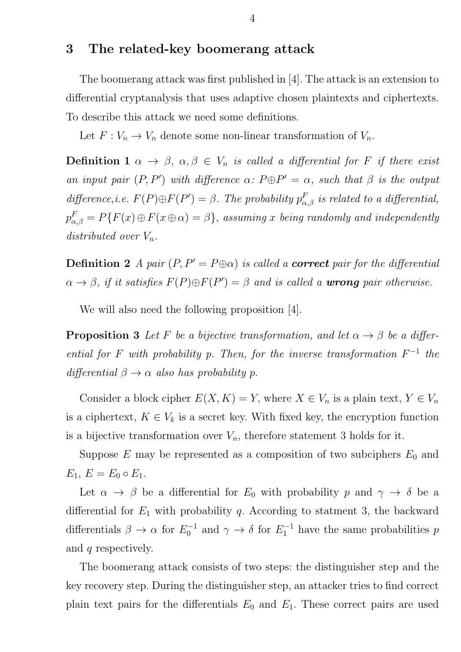### 3 The related-key boomerang attack

The boomerang attack was first published in [4]. The attack is an extension to differential cryptanalysis that uses adaptive chosen plaintexts and ciphertexts. To describe this attack we need some definitions.

Let  $F: V_n \to V_n$  denote some non-linear transformation of  $V_n$ .

**Definition 1**  $\alpha \to \beta$ ,  $\alpha, \beta \in V_n$  is called a differential for F if there exist an input pair  $(P, P')$  with difference  $\alpha$ :  $P \oplus P' = \alpha$ , such that  $\beta$  is the output difference, i.e.  $F(P) \oplus F(P') = \beta$ . The probability  $p_{\alpha,\beta}^F$  is related to a differential,  $p_{\alpha,\beta}^F=P\{F(x)\oplus F(x\oplus\alpha)=\beta\},\;assuming\;x\;\;being\; randomly\;and\;independently$ distributed over  $V_n$ .

**Definition 2** A pair  $(P, P' = P \oplus \alpha)$  is called a **correct** pair for the differential  $\alpha \to \beta$ , if it satisfies  $F(P) \oplus F(P') = \beta$  and is called a **wrong** pair otherwise.

We will also need the following proposition [4].

**Proposition 3** Let F be a bijective transformation, and let  $\alpha \rightarrow \beta$  be a differential for F with probability p. Then, for the inverse transformation  $F^{-1}$  the differential  $\beta \rightarrow \alpha$  also has probability p.

Consider a block cipher  $E(X, K) = Y$ , where  $X \in V_n$  is a plain text,  $Y \in V_n$ is a ciphertext,  $K \in V_k$  is a secret key. With fixed key, the encryption function is a bijective transformation over  $V_n$ , therefore statement 3 holds for it.

Suppose  $E$  may be represented as a composition of two subciphers  $E_0$  and  $E_1, E = E_0 \circ E_1.$ 

Let  $\alpha \to \beta$  be a differential for  $E_0$  with probability p and  $\gamma \to \delta$  be a differential for  $E_1$  with probability q. According to statment 3, the backward differentials  $\beta \to \alpha$  for  $E_0^{-1}$  $v_0^{-1}$  and  $\gamma \to \delta$  for  $E_1^{-1}$  have the same probabilities p and q respectively.

The boomerang attack consists of two steps: the distinguisher step and the key recovery step. During the distinguisher step, an attacker tries to find correct plain text pairs for the differentials  $E_0$  and  $E_1$ . These correct pairs are used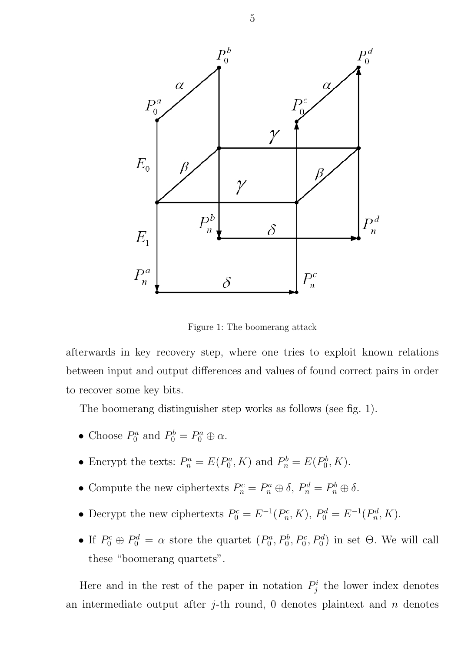

Figure 1: The boomerang attack

afterwards in key recovery step, where one tries to exploit known relations between input and output differences and values of found correct pairs in order to recover some key bits.

The boomerang distinguisher step works as follows (see fig. 1).

- Choose  $P_0^a$  $P_0^a$  and  $P_0^b = P_0^a \oplus \alpha$ .
- Encrypt the texts:  $P_n^a = E(P_0^a)$  $P_0^a$ , K) and  $P_n^b = E(P_0^b)$  $_{0}^{bb}, K$ ).
- Compute the new ciphertexts  $P_n^c = P_n^a \oplus \delta$ ,  $P_n^d = P_n^b \oplus \delta$ .
- Decrypt the new ciphertexts  $P_0^c = E^{-1}(P_n^c)$  $P_n^c$ , K),  $P_0^d = E^{-1}(P_n^d)$  $_{n}^{od}, K$ ).
- If  $P_0^c \oplus P_0^d = \alpha$  store the quartet  $(P_0^d)$  $P_0^a, P_0^b, P_0^c, P_0^d$  in set  $\Theta$ . We will call these "boomerang quartets".

Here and in the rest of the paper in notation  $P_i^i$  $j_j^i$  the lower index denotes an intermediate output after *j*-th round, 0 denotes plaintext and *n* denotes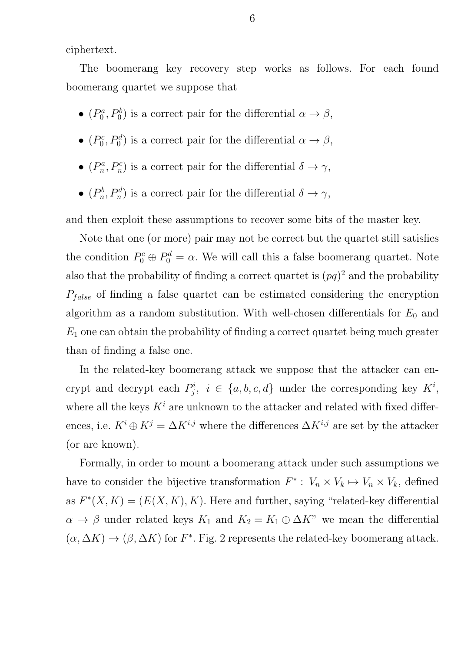ciphertext.

The boomerang key recovery step works as follows. For each found boomerang quartet we suppose that

- $\bullet$   $(P_0^a)$  $P_0^a, P_0^b$  is a correct pair for the differential  $\alpha \to \beta$ ,
- $\bullet$   $(P_0^c)$  $p_0^c, P_0^d$ ) is a correct pair for the differential  $\alpha \to \beta$ ,
- $\bullet$   $(P_n^a)$  $p_n^a, P_n^c$ ) is a correct pair for the differential  $\delta \to \gamma$ ,
- $\bullet\ (P_n^b$  $(n_n^b, P_n^d)$  is a correct pair for the differential  $\delta \to \gamma$ ,

and then exploit these assumptions to recover some bits of the master key.

Note that one (or more) pair may not be correct but the quartet still satisfies the condition  $P_0^c \oplus P_0^d = \alpha$ . We will call this a false boomerang quartet. Note also that the probability of finding a correct quartet is  $(pq)^2$  and the probability  $P_{false}$  of finding a false quartet can be estimated considering the encryption algorithm as a random substitution. With well-chosen differentials for  $E_0$  and  $E_1$  one can obtain the probability of finding a correct quartet being much greater than of finding a false one.

In the related-key boomerang attack we suppose that the attacker can encrypt and decrypt each  $P_i^i$  $j^i, i \in \{a, b, c, d\}$  under the corresponding key  $K^i$ , where all the keys  $K^i$  are unknown to the attacker and related with fixed differences, i.e.  $K^i \oplus K^j = \Delta K^{i,j}$  where the differences  $\Delta K^{i,j}$  are set by the attacker (or are known).

Formally, in order to mount a boomerang attack under such assumptions we have to consider the bijective transformation  $F^*$ :  $V_n \times V_k \mapsto V_n \times V_k$ , defined as  $F^*(X, K) = (E(X, K), K)$ . Here and further, saying "related-key differential  $\alpha \to \beta$  under related keys  $K_1$  and  $K_2 = K_1 \oplus \Delta K$ " we mean the differential  $(\alpha, \Delta K) \to (\beta, \Delta K)$  for  $F^*$ . Fig. 2 represents the related-key boomerang attack.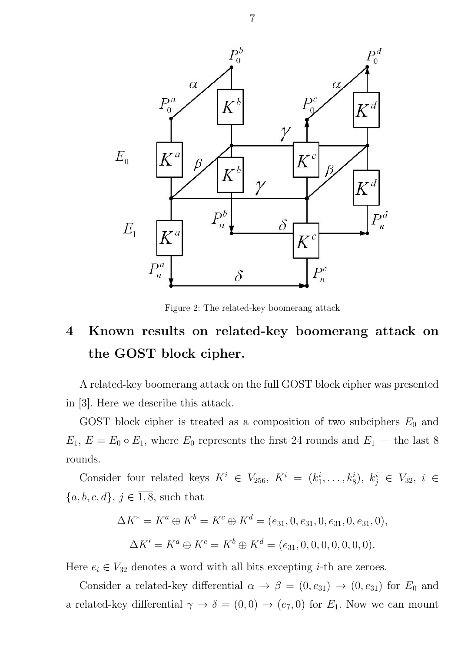

Figure 2: The related-key boomerang attack

# 4 Known results on related-key boomerang attack on the GOST block cipher.

A related-key boomerang attack on the full GOST block cipher was presented in [3]. Here we describe this attack.

GOST block cipher is treated as a composition of two subciphers  $E_0$  and  $E_1, E = E_0 \circ E_1$ , where  $E_0$  represents the first 24 rounds and  $E_1$  — the last 8 rounds.

Consider four related keys  $K^i \in V_{256}, K^i = (k_1^i)$  $i_1^i, \ldots, k_8^i$ ,  $k_j^i \in V_{32}, i \in$  $\{a, b, c, d\},\, j\in\overline{1,8},$  such that

$$
\Delta K^* = K^a \oplus K^b = K^c \oplus K^d = (e_{31}, 0, e_{31}, 0, e_{31}, 0, e_{31}, 0),
$$
  

$$
\Delta K' = K^a \oplus K^c = K^b \oplus K^d = (e_{31}, 0, 0, 0, 0, 0, 0).
$$

Here  $e_i \in V_{32}$  denotes a word with all bits excepting *i*-th are zeroes.

Consider a related-key differential  $\alpha \to \beta = (0, e_{31}) \to (0, e_{31})$  for  $E_0$  and a related-key differential  $\gamma \to \delta = (0,0) \to (e_7,0)$  for  $E_1$ . Now we can mount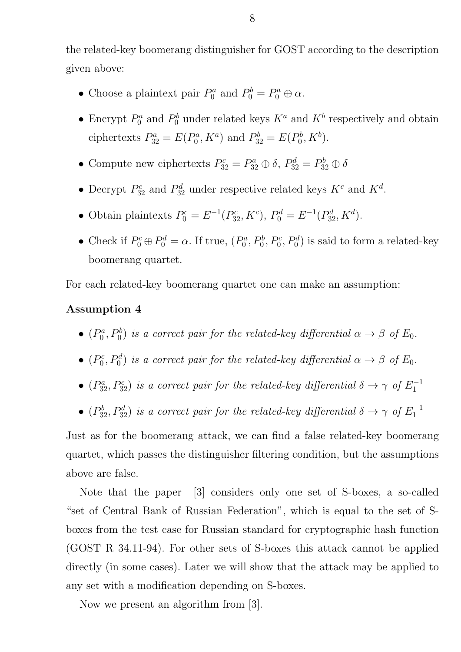the related-key boomerang distinguisher for GOST according to the description given above:

- Choose a plaintext pair  $P_0^a$  $P_0^a$  and  $P_0^b = P_0^a \oplus \alpha$ .
- Encrypt  $P_0^a$  $P_0^a$  and  $P_0^b$  under related keys  $K^a$  and  $K^b$  respectively and obtain ciphertexts  $P_{32}^a = E(P_0^a)$  $P_0^a, K^a$  and  $P_{32}^b = E(P_0^b)$  $b^b_0, K^b)$ .
- Compute new ciphertexts  $P_{32}^c = P_{32}^a \oplus \delta$ ,  $P_{32}^d = P_{32}^b \oplus \delta$
- Decrypt  $P_{32}^c$  and  $P_{32}^d$  under respective related keys  $K^c$  and  $K^d$ .
- Obtain plaintexts  $P_0^c = E^{-1}(P_{32}^c, K^c), P_0^d = E^{-1}(P_{32}^d, K^d)$ .
- Check if  $P_0^c \oplus P_0^d = \alpha$ . If true,  $(P_0^a)$  $P_0^a, P_0^b, P_0^c, P_0^d$  is said to form a related-key boomerang quartet.

For each related-key boomerang quartet one can make an assumption:

### Assumption 4

- $\bullet$   $(P_0^a)$  $P_0^a, P_0^b$ ) is a correct pair for the related-key differential  $\alpha \to \beta$  of  $E_0$ .
- $\bullet$   $(P_0^c)$  $\partial_0^c, P_0^d$ ) is a correct pair for the related-key differential  $\alpha \to \beta$  of  $E_0$ .
- $(P_{32}^a, P_{32}^c)$  is a correct pair for the related-key differential  $\delta \rightarrow \gamma$  of  $E_1^{-1}$ 1
- $(P_{32}^b, P_{32}^d)$  is a correct pair for the related-key differential  $\delta \to \gamma$  of  $E_1^{-1}$ 1

Just as for the boomerang attack, we can find a false related-key boomerang quartet, which passes the distinguisher filtering condition, but the assumptions above are false.

Note that the paper [3] considers only one set of S-boxes, a so-called "set of Central Bank of Russian Federation", which is equal to the set of Sboxes from the test case for Russian standard for cryptographic hash function (GOST R 34.11-94). For other sets of S-boxes this attack cannot be applied directly (in some cases). Later we will show that the attack may be applied to any set with a modification depending on S-boxes.

Now we present an algorithm from [3].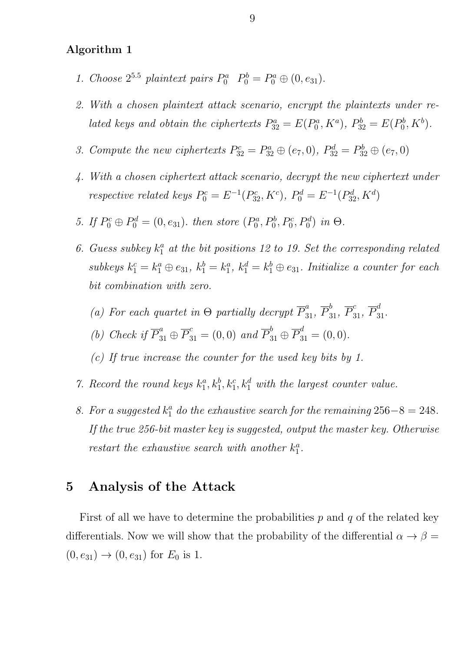#### Algorithm 1

- 1. Choose  $2^{5.5}$  plaintext pairs  $P_0^a$   $P_0^b = P_0^a \oplus (0, e_{31})$ .
- 2. With a chosen plaintext attack scenario, encrypt the plaintexts under related keys and obtain the ciphertexts  $P_{32}^a = E(P_0^a)$  $P_0^a, K^a$ ,  $P_{32}^b = E(P_0^b)$  $b_0^b, K^b$ ).
- 3. Compute the new ciphertexts  $P_{32}^c = P_{32}^a \oplus (e_7, 0), P_{32}^d = P_{32}^b \oplus (e_7, 0)$
- 4. With a chosen ciphertext attack scenario, decrypt the new ciphertext under respective related keys  $P_0^c = E^{-1}(P_{32}^c, K^c)$ ,  $P_0^d = E^{-1}(P_{32}^d, K^d)$
- 5. If  $P_0^c \oplus P_0^d = (0, e_{31})$ . then store  $(P_0^a)$  $P_0^a, P_0^b, P_0^c, P_0^d$  in  $\Theta$ .
- 6. Guess subkey  $k_1^a$  at the bit positions 12 to 19. Set the corresponding related subkeys  $k_1^c = k_1^a \oplus e_{31}$ ,  $k_1^b = k_1^a$  $a_1^a, k_1^d = k_1^b \oplus e_{31}$ . Initialize a counter for each bit combination with zero.
	- (a) For each quartet in  $\Theta$  partially decrypt  $\overline{P}_{31}^a$ ,  $\overline{P}_{31}^b$ ,  $\overline{P}_{31}^c$ ,  $\overline{P}_{31}^d$ .
	- (b) Check if  $\overline{P}_{31}^a \oplus \overline{P}_{31}^c = (0,0)$  and  $\overline{P}_{31}^b \oplus \overline{P}_{31}^d = (0,0)$ .
	- (c) If true increase the counter for the used key bits by 1.
- 7. Record the round keys  $k_1^a$  $\mathbf{a}_1^a, \mathbf{k}_1^b, \mathbf{k}_1^c, \mathbf{k}_1^d$  with the largest counter value.
- 8. For a suggested  $k_1^a$  do the exhaustive search for the remaining  $256-8=248$ . If the true 256-bit master key is suggested, output the master key. Otherwise restart the exhaustive search with another  $k_1^a$  $\frac{a}{1}$ .

### 5 Analysis of the Attack

First of all we have to determine the probabilities  $p$  and  $q$  of the related key differentials. Now we will show that the probability of the differential  $\alpha \to \beta =$  $(0, e_{31}) \rightarrow (0, e_{31})$  for  $E_0$  is 1.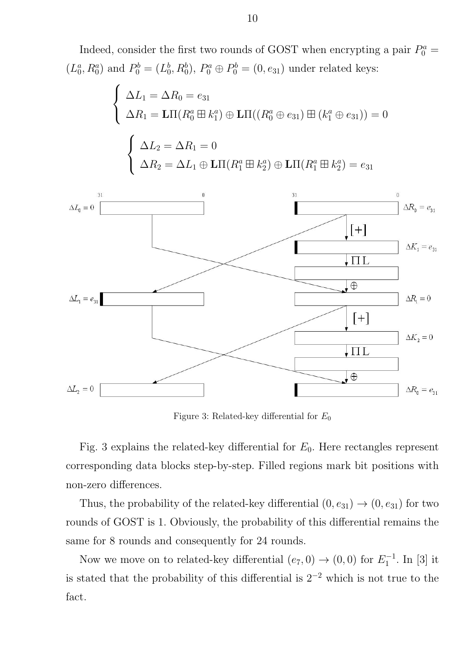Indeed, consider the first two rounds of GOST when encrypting a pair  $P_0^a$  =  $(L_0^a$  $_0^a$ ,  $R_0^a$ ) and  $P_0^b = (L_0^b)$  $_0^b, R_0^b, P_0^a \oplus P_0^b = (0, e_{31})$  under related keys:

$$
\begin{cases}\n\Delta L_1 = \Delta R_0 = e_{31} \\
\Delta R_1 = \text{L}\Pi(R_0^a \boxplus k_1^a) \oplus \text{L}\Pi((R_0^a \oplus e_{31}) \boxplus (k_1^a \oplus e_{31})) = 0\n\end{cases}
$$
\n
$$
\begin{cases}\n\Delta L_2 = \Delta R_1 = 0 \\
\Delta R_2 = \Delta L_1 \oplus \text{L}\Pi(R_1^a \boxplus k_2^a) \oplus \text{L}\Pi(R_1^a \boxplus k_2^a) = e_{31}\n\end{cases}
$$



Figure 3: Related-key differential for  $E_0$ 

Fig. 3 explains the related-key differential for  $E_0$ . Here rectangles represent corresponding data blocks step-by-step. Filled regions mark bit positions with non-zero differences.

Thus, the probability of the related-key differential  $(0, e_{31}) \rightarrow (0, e_{31})$  for two rounds of GOST is 1. Obviously, the probability of this differential remains the same for 8 rounds and consequently for 24 rounds.

Now we move on to related-key differential  $(e_7, 0) \rightarrow (0, 0)$  for  $E_1^{-1}$  $_{1}^{\prime -1}$ . In [3] it is stated that the probability of this differential is  $2^{-2}$  which is not true to the fact.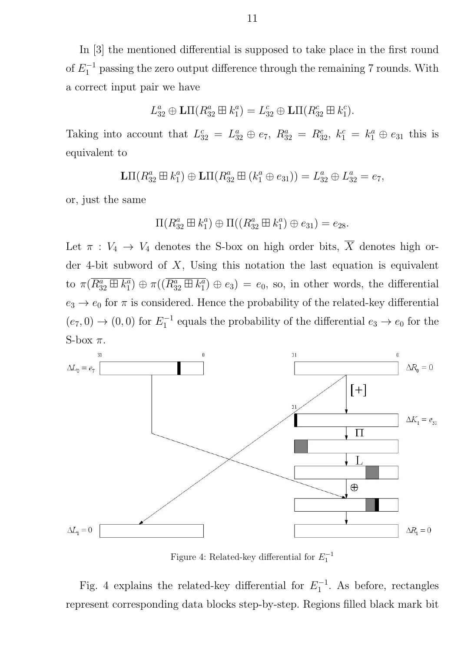In [3] the mentioned differential is supposed to take place in the first round of  $E_1^{-1}$  passing the zero output difference through the remaining 7 rounds. With a correct input pair we have

$$
L_{32}^a \oplus \mathbf{L}\Pi(R_{32}^a \boxplus k_1^a) = L_{32}^c \oplus \mathbf{L}\Pi(R_{32}^c \boxplus k_1^c).
$$

Taking into account that  $L_{32}^c = L_{32}^a \oplus e_7$ ,  $R_{32}^a = R_{32}^c$ ,  $k_1^c = k_1^a \oplus e_{31}$  this is equivalent to

> $\mathbf{L}\Pi(R_{32}^a \boxplus k_1^a$  $L_{1}^{a}$ )  $\oplus$  LII( $R_{32}^{a}$   $\boxplus$   $(k_{1}^{a} \oplus e_{31})$ ) =  $L_{32}^{a} \oplus L_{32}^{a} = e_{7}$ ,

or, just the same

$$
\Pi(R_{32}^a \boxplus k_1^a) \oplus \Pi((R_{32}^a \boxplus k_1^a) \oplus e_{31}) = e_{28}.
$$

Let  $\pi : V_4 \to V_4$  denotes the S-box on high order bits,  $\overline{X}$  denotes high order 4-bit subword of  $X$ , Using this notation the last equation is equivalent to  $\pi(\overline{R^a_{32} \boxplus k^a_1})$  $\overline{\binom{a}{1}} \oplus \pi ((\overline{R^a_{32}\boxplus k^a_1})$  $\binom{a}{1} \oplus e_3$  =  $e_0$ , so, in other words, the differential  $e_3 \rightarrow e_0$  for  $\pi$  is considered. Hence the probability of the related-key differential  $(e_7, 0) \to (0, 0)$  for  $E_1^{-1}$  $i_1^{-1}$  equals the probability of the differential  $e_3 \rightarrow e_0$  for the S-box  $\pi$ .



Figure 4: Related-key differential for  $E_1^{-1}$ 

Fig. 4 explains the related-key differential for  $E_1^{-1}$  $i_1^{-1}$ . As before, rectangles represent corresponding data blocks step-by-step. Regions filled black mark bit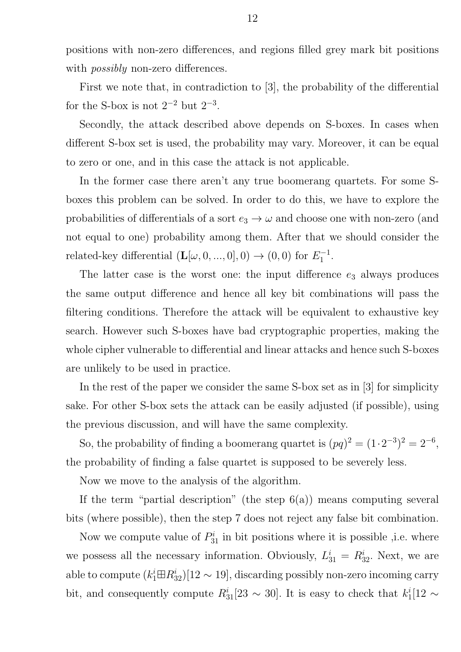positions with non-zero differences, and regions filled grey mark bit positions with *possibly* non-zero differences.

First we note that, in contradiction to [3], the probability of the differential for the S-box is not  $2^{-2}$  but  $2^{-3}$ .

Secondly, the attack described above depends on S-boxes. In cases when different S-box set is used, the probability may vary. Moreover, it can be equal to zero or one, and in this case the attack is not applicable.

In the former case there aren't any true boomerang quartets. For some Sboxes this problem can be solved. In order to do this, we have to explore the probabilities of differentials of a sort  $e_3 \to \omega$  and choose one with non-zero (and not equal to one) probability among them. After that we should consider the related-key differential  $(\mathbf{L}[\omega, 0, ..., 0], 0) \rightarrow (0, 0)$  for  $E_1^{-1}$  $\frac{1}{1}$ .

The latter case is the worst one: the input difference  $e_3$  always produces the same output difference and hence all key bit combinations will pass the filtering conditions. Therefore the attack will be equivalent to exhaustive key search. However such S-boxes have bad cryptographic properties, making the whole cipher vulnerable to differential and linear attacks and hence such S-boxes are unlikely to be used in practice.

In the rest of the paper we consider the same S-box set as in [3] for simplicity sake. For other S-box sets the attack can be easily adjusted (if possible), using the previous discussion, and will have the same complexity.

So, the probability of finding a boomerang quartet is  $(pq)^2 = (1 \cdot 2^{-3})^2 = 2^{-6}$ , the probability of finding a false quartet is supposed to be severely less.

Now we move to the analysis of the algorithm.

If the term "partial description" (the step  $6(a)$ ) means computing several bits (where possible), then the step 7 does not reject any false bit combination.

Now we compute value of  $P_{31}^i$  in bit positions where it is possible , i.e. where we possess all the necessary information. Obviously,  $L_{31}^i = R_{32}^i$ . Next, we are able to compute  $(k_1^i \boxplus R_{32}^i)[12 \sim 19]$ , discarding possibly non-zero incoming carry bit, and consequently compute  $R_{31}^i[23 \sim 30]$ . It is easy to check that  $k_1^i$  $\frac{i}{1}$ [12 ∼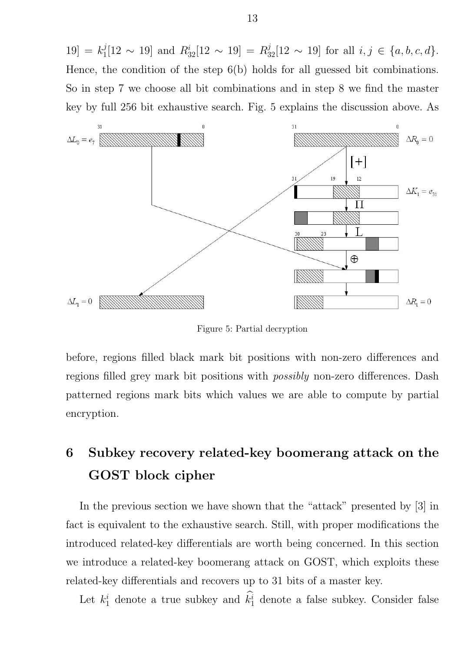$|19| = k_1^j$  $j_1^j[12 \sim 19]$  and  $R_{32}^i[12 \sim 19] = R_{32}^j[12 \sim 19]$  for all  $i, j \in \{a, b, c, d\}$ . Hence, the condition of the step 6(b) holds for all guessed bit combinations. So in step 7 we choose all bit combinations and in step 8 we find the master key by full 256 bit exhaustive search. Fig. 5 explains the discussion above. As



Figure 5: Partial decryption

before, regions filled black mark bit positions with non-zero differences and regions filled grey mark bit positions with *possibly* non-zero differences. Dash patterned regions mark bits which values we are able to compute by partial encryption.

# 6 Subkey recovery related-key boomerang attack on the GOST block cipher

In the previous section we have shown that the "attack" presented by [3] in fact is equivalent to the exhaustive search. Still, with proper modifications the introduced related-key differentials are worth being concerned. In this section we introduce a related-key boomerang attack on GOST, which exploits these related-key differentials and recovers up to 31 bits of a master key.

Let  $k_1^i$  denote a true subkey and  $k_1^i$  denote a false subkey. Consider false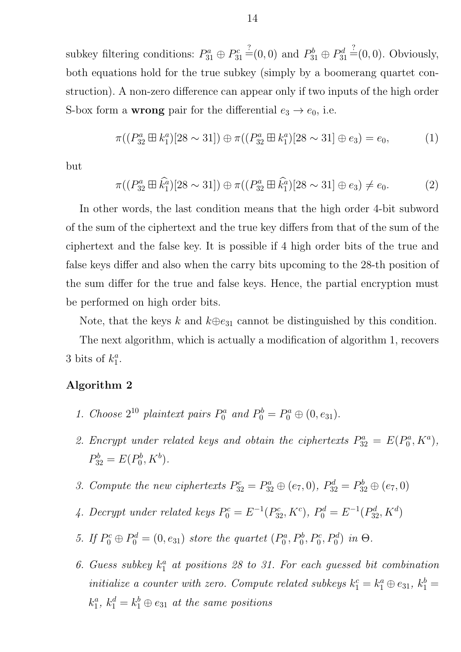subkey filtering conditions:  $P_{31}^a \oplus P_3^c$  $P_{31}^c \stackrel{?}{=} (0,0)$  and  $P_{31}^b \oplus P_{31}^d$  $b_{31}^d \stackrel{?}{=} (0,0)$ . Obviously, both equations hold for the true subkey (simply by a boomerang quartet construction). A non-zero difference can appear only if two inputs of the high order S-box form a **wrong** pair for the differential  $e_3 \rightarrow e_0$ , i.e.

$$
\pi((P_{32}^a \boxplus k_1^a)[28 \sim 31]) \oplus \pi((P_{32}^a \boxplus k_1^a)[28 \sim 31] \oplus e_3) = e_0,\tag{1}
$$

but

$$
\pi((P_{32}^a \boxplus \hat{k}_1^a)[28 \sim 31]) \oplus \pi((P_{32}^a \boxplus \hat{k}_1^a)[28 \sim 31] \oplus e_3) \neq e_0.
$$
 (2)

In other words, the last condition means that the high order 4-bit subword of the sum of the ciphertext and the true key differs from that of the sum of the ciphertext and the false key. It is possible if 4 high order bits of the true and false keys differ and also when the carry bits upcoming to the 28-th position of the sum differ for the true and false keys. Hence, the partial encryption must be performed on high order bits.

Note, that the keys k and  $k \oplus e_{31}$  cannot be distinguished by this condition.

The next algorithm, which is actually a modification of algorithm 1, recovers 3 bits of  $k_1^a$  $\frac{a}{1}$ .

### Algorithm 2

- 1. Choose  $2^{10}$  plaintext pairs  $P_0^a$  and  $P_0^b = P_0^a \oplus (0, e_{31})$ .
- 2. Encrypt under related keys and obtain the ciphertexts  $P_{32}^a = E(P_0^a)$  $b_0^a, K^a),$  $P_{32}^b = E(P_0^b)$  $b^b_0, K^b)$ .
- 3. Compute the new ciphertexts  $P_{32}^c = P_{32}^a \oplus (e_7, 0), P_{32}^d = P_{32}^b \oplus (e_7, 0)$
- 4. Decrypt under related keys  $P_0^c = E^{-1}(P_{32}^c, K^c), P_0^d = E^{-1}(P_{32}^d, K^d)$
- 5. If  $P_0^c \oplus P_0^d = (0, e_{31})$  store the quartet  $(P_0^d)$  $P_0^a, P_0^b, P_0^c, P_0^d$  in  $\Theta$ .
- 6. Guess subkey  $k_1^a$  at positions 28 to 31. For each guessed bit combination initialize a counter with zero. Compute related subkeys  $k_1^c = k_1^a \oplus e_{31}$ ,  $k_1^b =$  $k_1^a$  $a_1^a, k_1^d = k_1^b \oplus e_{31}$  at the same positions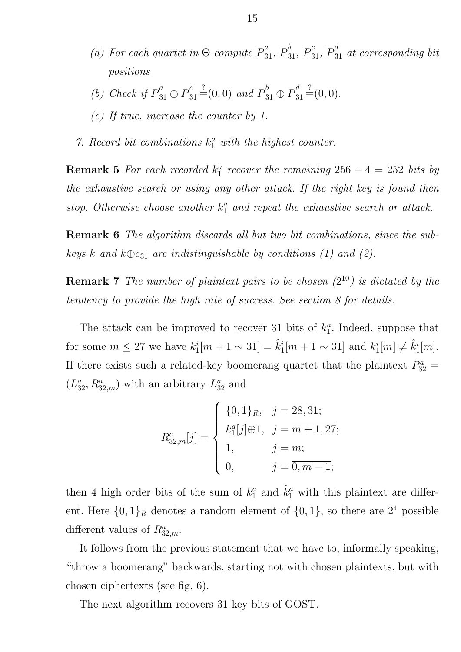- (a) For each quartet in  $\Theta$  compute  $\overline{P}_{31}^a$ ,  $\overline{P}_{31}^b$ ,  $\overline{P}_{31}^c$ ,  $\overline{P}_{31}^d$  at corresponding bit positions
- (b) Check if  $\overline{P}_{31}^a \oplus \overline{P}_3^c$  $\overline{c}_{31}^c \stackrel{?}{=} (0,0)$  and  $\overline{P}_{31}^b \oplus \overline{P}_{31}^d$  $a_{31}^d \stackrel{?}{=} (0,0).$
- (c) If true, increase the counter by 1.
- 7. Record bit combinations  $k_1^a$  with the highest counter.

**Remark 5** For each recorded  $k_1^a$  $n_1^a$  recover the remaining  $256 - 4 = 252$  bits by the exhaustive search or using any other attack. If the right key is found then stop. Otherwise choose another  $k_1^a$  and repeat the exhaustive search or attack.

**Remark 6** The algorithm discards all but two bit combinations, since the subkeys k and  $k\oplus e_{31}$  are indistinguishable by conditions (1) and (2).

**Remark 7** The number of plaintext pairs to be chosen  $(2^{10})$  is dictated by the tendency to provide the high rate of success. See section 8 for details.

The attack can be improved to recover 31 bits of  $k_1^a$  $i<sub>1</sub><sup>a</sup>$ . Indeed, suppose that for some  $m \leq 27$  we have  $k_1^i$  $i_1^i[m+1 \sim 31] = \hat{k}_1^i$  $i_1^i[m+1 \sim 31]$  and  $k_1^i$  $\hat{h}_1^i[m]\neq \hat{h}_1^i$  $\frac{i}{1}[m].$ If there exists such a related-key boomerang quartet that the plaintext  $P_{32}^a =$  $(L_{32}^a, R_{32,m}^a)$  with an arbitrary  $L_{32}^a$  and

$$
R_{32,m}^a[j] = \begin{cases} \{0,1\}_R, & j = 28,31; \\ k_1^a[j] \oplus 1, & j = m+1,27; \\ 1, & j = m; \\ 0, & j = \overline{0,m-1}; \end{cases}
$$

then 4 high order bits of the sum of  $k_1^a$  $\hat{k}_1^a$  and  $\hat{k}_1^a$  with this plaintext are different. Here  $\{0,1\}_R$  denotes a random element of  $\{0,1\}$ , so there are  $2^4$  possible different values of  $R_{32,m}^a$ .

It follows from the previous statement that we have to, informally speaking, "throw a boomerang" backwards, starting not with chosen plaintexts, but with chosen ciphertexts (see fig. 6).

The next algorithm recovers 31 key bits of GOST.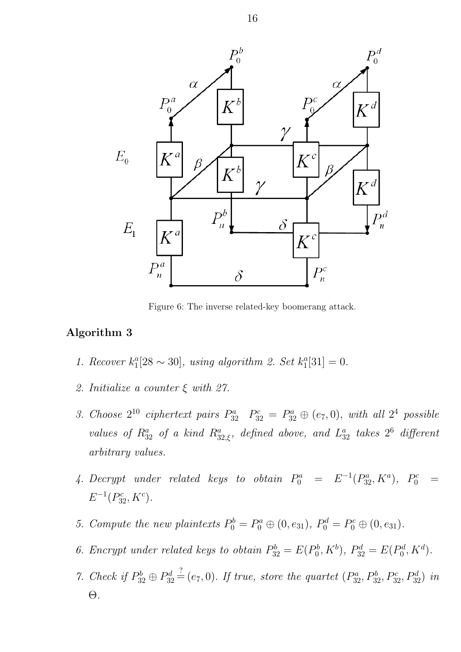

Figure 6: The inverse related-key boomerang attack.

#### Algorithm 3

- 1. Recover  $k_1^a$  $n_1^a[28\sim 30]$ , using algorithm 2. Set  $k_1^a$  $_{1}^{a}[31] = 0.$
- 2. Initialize a counter ξ with 27.
- 3. Choose  $2^{10}$  ciphertext pairs  $P_{32}^a$   $P_{32}^c = P_{32}^a \oplus (e_7, 0)$ , with all  $2^4$  possible values of  $R_{32}^a$  of a kind  $R_{32,\xi}^a$ , defined above, and  $L_{32}^a$  takes  $2^6$  different arbitrary values.
- 4. Decrypt under related keys to obtain  $P_0^a = E^{-1}(P_{32}^a, K^a)$ ,  $P_0^c =$  $E^{-1}(P_{32}^c, K^c)$ .
- 5. Compute the new plaintexts  $P_0^b = P_0^a \oplus (0, e_{31}), P_0^d = P_0^c \oplus (0, e_{31}).$
- 6. Encrypt under related keys to obtain  $P_{32}^b = E(P_0^b)$  $P_0^b, K^b$ ,  $P_{32}^d = E(P_0^d)$  $b_0^d, K^d$ ).
- 7. Check if  $P_{32}^b \oplus P_{32}^d$  $S_{32}^d \stackrel{?}{=} (e_7, 0)$ . If true, store the quartet  $(P_{32}^a, P_{32}^b, P_{32}^c, P_{32}^d)$  in Θ.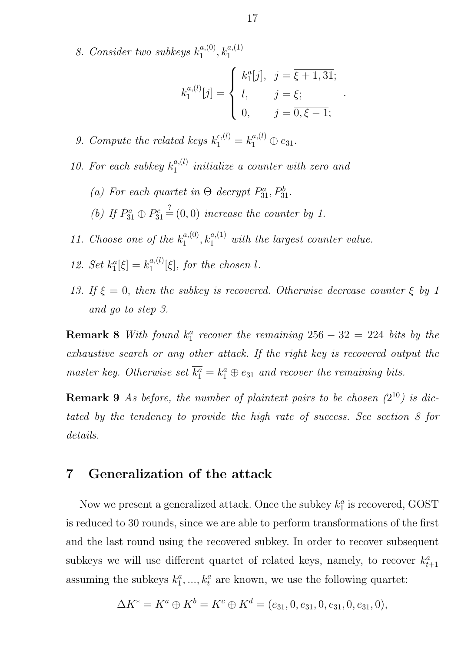8. Consider two subkeys  $k_1^{a,(0)}$  $k_1^{a,(0)}, k_1^{a,(1)}$ 

$$
k_1^{a,(l)}[j] = \begin{cases} k_1^a[j], & j = \overline{\xi + 1,31}; \\ l, & j = \xi; \\ 0, & j = \overline{0,\xi - 1}; \end{cases}
$$

.

- 9. Compute the related keys  $k_1^{c,(l)} = k_1^{a,(l)} \oplus e_{31}$ .
- 10. For each subkey  $k_1^{a,(l)}$  $\binom{a,(l)}{1}$  initialize a counter with zero and
	- (a) For each quartet in  $\Theta$  decrypt  $P_{31}^a, P_{31}^b$ .

(b) If  $P_{31}^a \oplus P_3^c$  $\mathbf{S}^c_{31} \stackrel{?}{=} (0,0)$  increase the counter by 1.

- 11. Choose one of the  $k_1^{a,(0)}$  $t_1^{a,(0)},$   $k_1^{a,(1)}$  with the largest counter value.
- 12. Set  $k_1^a$  $a_1^a[\xi] = k_1^{a,(l)}$  $\binom{a,(t)}{1}$  [ξ], for the chosen l.
- 13. If  $\xi = 0$ , then the subkey is recovered. Otherwise decrease counter  $\xi$  by 1 and go to step 3.

**Remark 8** With found  $k_1^a$  $n_1^a$  recover the remaining  $256 - 32 = 224$  bits by the exhaustive search or any other attack. If the right key is recovered output the master key. Otherwise set  $\overline{k_1^a} = k_1^a \oplus e_{31}$  and recover the remaining bits.

**Remark 9** As before, the number of plaintext pairs to be chosen  $(2^{10})$  is dictated by the tendency to provide the high rate of success. See section 8 for details.

## 7 Generalization of the attack

Now we present a generalized attack. Once the subkey  $k_1^a$  $t_1^a$  is recovered, GOST is reduced to 30 rounds, since we are able to perform transformations of the first and the last round using the recovered subkey. In order to recover subsequent subkeys we will use different quartet of related keys, namely, to recover  $k_t^a$  $t+1$ assuming the subkeys  $k_1^a$  $k_1^a, ..., k_t^a$  are known, we use the following quartet:

$$
\Delta K^* = K^a \oplus K^b = K^c \oplus K^d = (e_{31}, 0, e_{31}, 0, e_{31}, 0, e_{31}, 0),
$$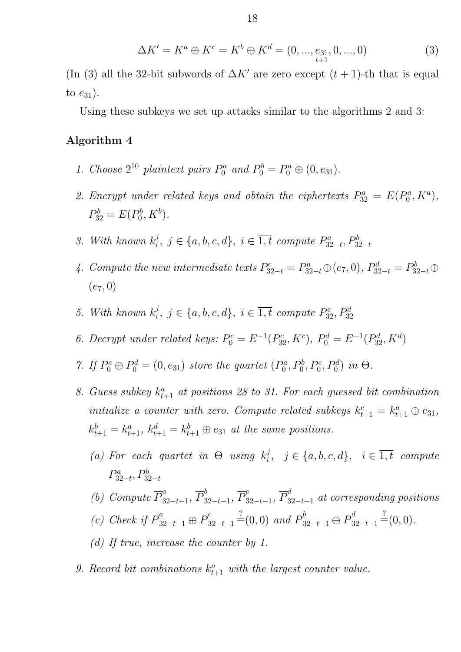$$
\Delta K' = K^a \oplus K^c = K^b \oplus K^d = (0, ..., e_{31}, 0, ..., 0)
$$
\n(3)

(In (3) all the 32-bit subwords of  $\Delta K'$  are zero except  $(t + 1)$ -th that is equal to  $e_{31}$ ).

Using these subkeys we set up attacks similar to the algorithms 2 and 3:

### Algorithm 4

- 1. Choose  $2^{10}$  plaintext pairs  $P_0^a$  and  $P_0^b = P_0^a \oplus (0, e_{31})$ .
- 2. Encrypt under related keys and obtain the ciphertexts  $P_{32}^a = E(P_0^a)$  $b_0^a, K^a),$  $P_{32}^b = E(P_0^b)$  $b_0^b, K^b$ ).
- 3. With known  $k_i^j$  $i, j \in \{a, b, c, d\}, i \in \overline{1, t}$  compute  $P_{33}^a$  $B^a_{32-t}, P^b_{32-t}$
- 4. Compute the new intermediate texts  $P_{32-t}^c = P_{32-t}^a \oplus (e_7, 0), P_{32-t}^d = P_{32-t}^b \oplus$  $(e_7, 0)$
- 5. With known  $k_i^j$  $i, j \in \{a, b, c, d\}, i \in \overline{1, t}$  compute  $P_{32}^c, P_{32}^d$
- 6. Decrypt under related keys:  $P_0^c = E^{-1}(P_{32}^c, K^c)$ ,  $P_0^d = E^{-1}(P_{32}^d, K^d)$
- 7. If  $P_0^c \oplus P_0^d = (0, e_{31})$  store the quartet  $(P_0^d)$  $P_0^a, P_0^b, P_0^c, P_0^d$  in  $\Theta$ .
- 8. Guess subkey  $k_{t+1}^a$  at positions 28 to 31. For each guessed bit combination initialize a counter with zero. Compute related subkeys  $k_{t+1}^c = k_{t+1}^a \oplus e_{31}$ ,  $k_{t+1}^b = k_{t+1}^a, k_{t+1}^d = k_{t+1}^b \oplus e_{31}$  at the same positions.
	- (a) For each quartet in  $\Theta$  using  $k_i^j$  $i, j \in \{a, b, c, d\}, i \in \overline{1, t}$  compute  $P^a_3$  $p_{32-t}^a, P_{32-t}^b$
	- (b) Compute  $\overline{P}_3^a$  $\frac{a}{32-t-1}, \overline{P}_3^b$  $\frac{b}{32-t-1}, \overline{P}_3^c$  $_{\begin{subarray}{c} 32-t-1\end{subarray}}^c$   $\overline{P}_{32-t-1}^d$  at corresponding positions
	- (c) Check if  $\overline{P}_{32-t-1}^a \oplus \overline{P}_3^c$  $\frac{c}{32-t-1}$   $\stackrel{?}{=}$  (0,0) and  $\overline{P}_{32-t-1}^b$  ⊕  $\overline{P}_3^d$  $\frac{d}{32-t-1}$  =  $(0,0)$ .
	- (d) If true, increase the counter by 1.
- 9. Record bit combinations  $k_{t+1}^a$  with the largest counter value.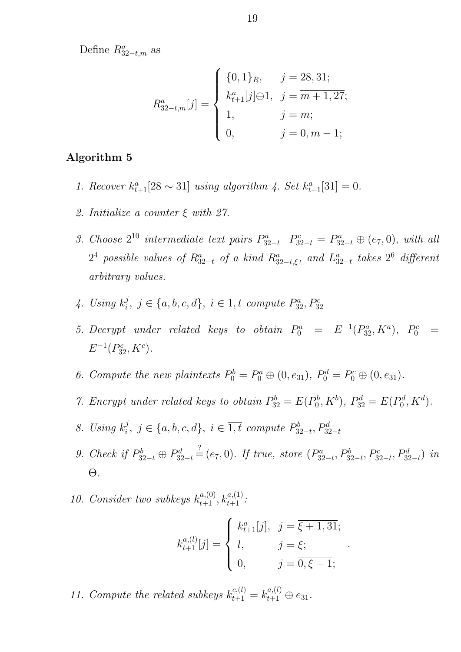Define  $R_{32-t,m}^a$  as

$$
R_{32-t,m}^{a}[j] = \begin{cases} \{0,1\}_{R}, & j = 28,31; \\ k_{t+1}^{a}[j] \oplus 1, & j = m+1,27; \\ 1, & j = m; \\ 0, & j = \overline{0,m-1}; \end{cases}
$$

### Algorithm 5

- 1. Recover  $k_{t+1}^a[28 \sim 31]$  using algorithm 4. Set  $k_{t+1}^a[31] = 0$ .
- 2. Initialize a counter ξ with 27.
- 3. Choose  $2^{10}$  intermediate text pairs  $P_{32-t}^a$   $P_{32-t}^c = P_{32-t}^a \oplus (e_7, 0)$ , with all  $2^4$  possible values of  $R_{32-t}^a$  of a kind  $R_{32-t,\xi}^a$ , and  $L_3^a$  $_{32-t}^a$  takes  $2^6$  different arbitrary values.
- $\ddot{4}$ . Using  $k_i^j$  $i, j \in \{a, b, c, d\}, i \in \overline{1, t}$  compute  $P_{32}^a, P_{32}^c$
- 5. Decrypt under related keys to obtain  $P_0^a = E^{-1}(P_{32}^a, K^a)$ ,  $P_0^c =$  $E^{-1}(P_{32}^c, K^c)$ .
- 6. Compute the new plaintexts  $P_0^b = P_0^a \oplus (0, e_{31}), P_0^d = P_0^c \oplus (0, e_{31}).$
- 7. Encrypt under related keys to obtain  $P_{32}^b = E(P_0^b)$  $P_0^b, K^b$ ,  $P_{32}^d = E(P_0^d)$  $b_0^d, K^d$ ).
- 8. Using  $k_i^j$  $i, j \in \{a, b, c, d\}, i \in \overline{1, t}$  compute  $P_3^b$  $B_{32-t}^b, P_{32-t}^d$
- 9. Check if  $P_{32-t}^b \oplus P_{32}^d$  $\frac{c_{32-t}}{c_{32-t}} \stackrel{?}{=} (e_7,0)$ . If true, store  $(P_{32}^a)$  $B_{32-t}^a, P_{32-t}^b, P_{32-t}^c, P_{32-t}^d)$  in Θ.
- 10. Consider two subkeys  $k_{t+1}^{a,(0)}, k_{t+1}^{a,(1)}$ .

$$
k_{t+1}^{a,(l)}[j] = \begin{cases} k_{t+1}^{a}[j], & j = \overline{\xi + 1,31}; \\ l, & j = \xi; \\ 0, & j = \overline{0,\xi - 1}; \end{cases}
$$

.

11. Compute the related subkeys  $k_{t+1}^{c,(l)} = k_{t+1}^{a,(l)} \oplus e_{31}$ .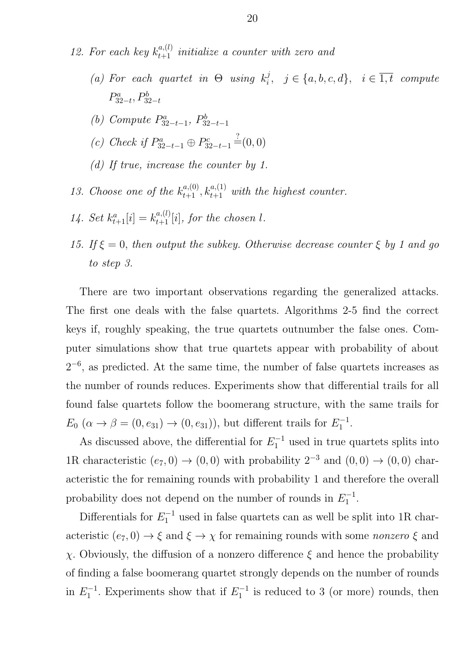- 12. For each key  $k_{t+1}^{a,(l)}$  initialize a counter with zero and
	- (a) For each quartet in  $\Theta$  using  $k_i^j$  $i, j \in \{a, b, c, d\}, i \in \overline{1, t}$  compute  $P^a_3$  $B^a_{32-t}, P^b_{32-t}$
	- (b) Compute  $P_{32}^a$  $B^a_{32-t-1},\ P^b_{31}$  $32-t-1$
	- (c) Check if  $P_{32-t-1}^a \oplus P_{32}^c$  $S_{32-t-1}^c = (0,0)$
	- (d) If true, increase the counter by 1.
- 13. Choose one of the  $k_{t+1}^{a,(0)}, k_{t+1}^{a,(1)}$  with the highest counter.
- 14. Set  $k_{t+1}^{a}[i] = k_{t+1}^{a,(l)}[i]$ , for the chosen l.
- 15. If  $\xi = 0$ , then output the subkey. Otherwise decrease counter  $\xi$  by 1 and go to step 3.

There are two important observations regarding the generalized attacks. The first one deals with the false quartets. Algorithms 2-5 find the correct keys if, roughly speaking, the true quartets outnumber the false ones. Computer simulations show that true quartets appear with probability of about  $2^{-6}$ , as predicted. At the same time, the number of false quartets increases as the number of rounds reduces. Experiments show that differential trails for all found false quartets follow the boomerang structure, with the same trails for  $E_0 \; (\alpha \to \beta = (0, e_{31}) \to (0, e_{31})$ , but different trails for  $E_1^{-1}$  $\frac{1}{1}$ .

As discussed above, the differential for  $E_1^{-1}$  used in true quartets splits into 1R characteristic  $(e_7, 0) \rightarrow (0, 0)$  with probability  $2^{-3}$  and  $(0, 0) \rightarrow (0, 0)$  characteristic the for remaining rounds with probability 1 and therefore the overall probability does not depend on the number of rounds in  $E_1^{-1}$  $\frac{1}{1}$ .

Differentials for  $E_1^{-1}$  used in false quartets can as well be split into 1R characteristic  $(e_7, 0) \rightarrow \xi$  and  $\xi \rightarrow \chi$  for remaining rounds with some *nonzero*  $\xi$  and χ. Obviously, the diffusion of a nonzero difference ξ and hence the probability of finding a false boomerang quartet strongly depends on the number of rounds in  $E_1^{-1}$  $i_1^{-1}$ . Experiments show that if  $E_1^{-1}$  $i_1^{-1}$  is reduced to 3 (or more) rounds, then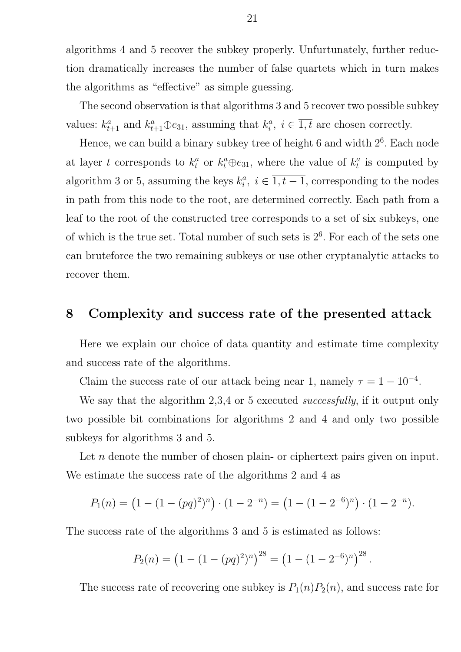algorithms 4 and 5 recover the subkey properly. Unfurtunately, further reduction dramatically increases the number of false quartets which in turn makes the algorithms as "effective" as simple guessing.

The second observation is that algorithms 3 and 5 recover two possible subkey values:  $k_{t+1}^a$  and  $k_{t+1}^a \oplus e_{31}$ , assuming that  $k_i^a$  $i_i^a, i \in \overline{1,t}$  are chosen correctly.

Hence, we can build a binary subkey tree of height  $6$  and width  $2<sup>6</sup>$ . Each node at layer t corresponds to  $k_t^a$  $t_t^a$  or  $k_t^a \oplus e_{31}$ , where the value of  $k_t^a$  $t<sup>a</sup>$  is computed by algorithm 3 or 5, assuming the keys  $k_i^a$  $i_i^a, i \in \overline{1, t-1}$ , corresponding to the nodes in path from this node to the root, are determined correctly. Each path from a leaf to the root of the constructed tree corresponds to a set of six subkeys, one of which is the true set. Total number of such sets is  $2<sup>6</sup>$ . For each of the sets one can bruteforce the two remaining subkeys or use other cryptanalytic attacks to recover them.

### 8 Complexity and success rate of the presented attack

Here we explain our choice of data quantity and estimate time complexity and success rate of the algorithms.

Claim the success rate of our attack being near 1, namely  $\tau = 1 - 10^{-4}$ .

We say that the algorithm 2,3,4 or 5 executed *successfully*, if it output only two possible bit combinations for algorithms 2 and 4 and only two possible subkeys for algorithms 3 and 5.

Let *n* denote the number of chosen plain- or ciphertext pairs given on input. We estimate the success rate of the algorithms 2 and 4 as

$$
P_1(n) = (1 - (1 - (pq)^2)^n) \cdot (1 - 2^{-n}) = (1 - (1 - 2^{-6})^n) \cdot (1 - 2^{-n}).
$$

The success rate of the algorithms 3 and 5 is estimated as follows:

$$
P_2(n) = (1 - (1 - (pq)^2)^n)^{28} = (1 - (1 - 2^{-6})^n)^{28}.
$$

The success rate of recovering one subkey is  $P_1(n)P_2(n)$ , and success rate for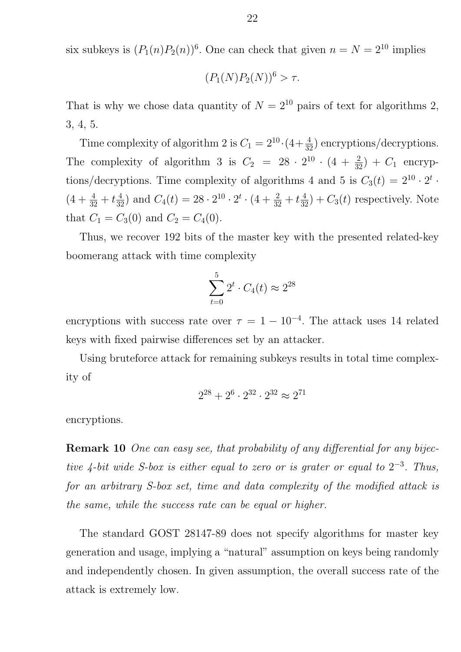six subkeys is  $(P_1(n)P_2(n))^6$ . One can check that given  $n = N = 2^{10}$  implies

$$
(P_1(N)P_2(N))^6 > \tau.
$$

That is why we chose data quantity of  $N = 2^{10}$  pairs of text for algorithms 2, 3, 4, 5.

Time complexity of algorithm 2 is  $C_1 = 2^{10} \cdot (4 + \frac{4}{32})$  encryptions/decryptions. The complexity of algorithm 3 is  $C_2 = 28 \cdot 2^{10} \cdot (4 + \frac{2}{32}) + C_1$  encryptions/decryptions. Time complexity of algorithms 4 and 5 is  $C_3(t) = 2^{10} \cdot 2^t$ .  $(4+\frac{4}{32}+t\frac{4}{32})$  and  $C_4(t) = 28 \cdot 2^{10} \cdot 2^t \cdot (4+\frac{2}{32}+t\frac{4}{32}) + C_3(t)$  respectively. Note that  $C_1 = C_3(0)$  and  $C_2 = C_4(0)$ .

Thus, we recover 192 bits of the master key with the presented related-key boomerang attack with time complexity

$$
\sum_{t=0}^{5} 2^t \cdot C_4(t) \approx 2^{28}
$$

encryptions with success rate over  $\tau = 1 - 10^{-4}$ . The attack uses 14 related keys with fixed pairwise differences set by an attacker.

Using bruteforce attack for remaining subkeys results in total time complexity of

$$
2^{28} + 2^6 \cdot 2^{32} \cdot 2^{32} \approx 2^{71}
$$

encryptions.

Remark 10 One can easy see, that probability of any differential for any bijective 4-bit wide S-box is either equal to zero or is grater or equal to  $2^{-3}$ . Thus, for an arbitrary S-box set, time and data complexity of the modified attack is the same, while the success rate can be equal or higher.

The standard GOST 28147-89 does not specify algorithms for master key generation and usage, implying a "natural" assumption on keys being randomly and independently chosen. In given assumption, the overall success rate of the attack is extremely low.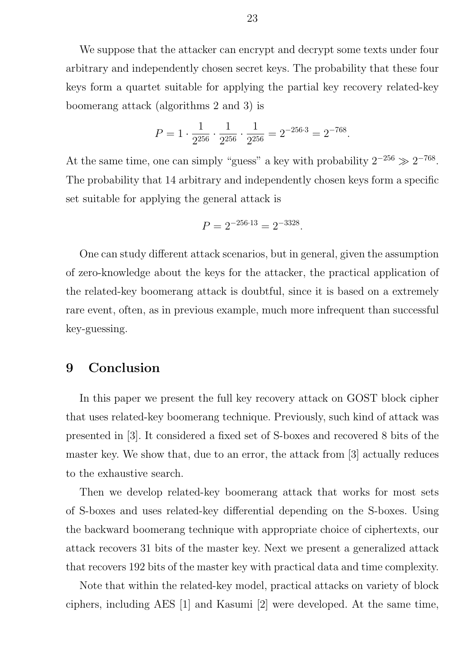We suppose that the attacker can encrypt and decrypt some texts under four arbitrary and independently chosen secret keys. The probability that these four keys form a quartet suitable for applying the partial key recovery related-key boomerang attack (algorithms 2 and 3) is

$$
P = 1 \cdot \frac{1}{2^{256}} \cdot \frac{1}{2^{256}} \cdot \frac{1}{2^{256}} = 2^{-256 \cdot 3} = 2^{-768}.
$$

At the same time, one can simply "guess" a key with probability  $2^{-256} \gg 2^{-768}$ . The probability that 14 arbitrary and independently chosen keys form a specific set suitable for applying the general attack is

$$
P = 2^{-256 \cdot 13} = 2^{-3328}.
$$

One can study different attack scenarios, but in general, given the assumption of zero-knowledge about the keys for the attacker, the practical application of the related-key boomerang attack is doubtful, since it is based on a extremely rare event, often, as in previous example, much more infrequent than successful key-guessing.

### 9 Conclusion

In this paper we present the full key recovery attack on GOST block cipher that uses related-key boomerang technique. Previously, such kind of attack was presented in [3]. It considered a fixed set of S-boxes and recovered 8 bits of the master key. We show that, due to an error, the attack from [3] actually reduces to the exhaustive search.

Then we develop related-key boomerang attack that works for most sets of S-boxes and uses related-key differential depending on the S-boxes. Using the backward boomerang technique with appropriate choice of ciphertexts, our attack recovers 31 bits of the master key. Next we present a generalized attack that recovers 192 bits of the master key with practical data and time complexity.

Note that within the related-key model, practical attacks on variety of block ciphers, including AES [1] and Kasumi [2] were developed. At the same time,